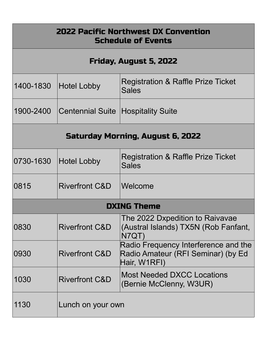| <b>2022 Pacific Northwest DX Convention</b><br><b>Schedule of Events</b> |                                              |                                                                                            |  |  |
|--------------------------------------------------------------------------|----------------------------------------------|--------------------------------------------------------------------------------------------|--|--|
| Friday, August 5, 2022                                                   |                                              |                                                                                            |  |  |
|                                                                          | 1400-1830 Hotel Lobby                        | Registration & Raffle Prize Ticket<br><b>Sales</b>                                         |  |  |
|                                                                          | 1900-2400 Centennial Suite Hospitality Suite |                                                                                            |  |  |
| Saturday Morning, August 6, 2022                                         |                                              |                                                                                            |  |  |
| 0730-1630                                                                | <b>Hotel Lobby</b>                           | Registration & Raffle Prize Ticket<br><b>Sales</b>                                         |  |  |
| 0815                                                                     | Riverfront C&D                               | <i><b>Nelcome</b></i>                                                                      |  |  |
| <b>DXING Theme</b>                                                       |                                              |                                                                                            |  |  |
| 0830                                                                     | <b>Riverfront C&amp;D</b>                    | The 2022 Dxpedition to Raivavae<br>(Austral Islands) TX5N (Rob Fanfant,<br>N7QT)           |  |  |
| 0930                                                                     | <b>Riverfront C&amp;D</b>                    | Radio Frequency Interference and the<br>Radio Amateur (RFI Seminar) (by Ed<br>Hair, W1RFI) |  |  |
| 1030                                                                     | <b>Riverfront C&amp;D</b>                    | <b>Most Needed DXCC Locations</b><br>(Bernie McClenny, W3UR)                               |  |  |
| 1130                                                                     | Lunch on your own                            |                                                                                            |  |  |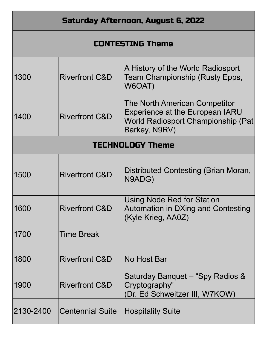| Saturday Afternoon, August 6, 2022 |                           |                                                                                                                                |  |  |
|------------------------------------|---------------------------|--------------------------------------------------------------------------------------------------------------------------------|--|--|
| <b>CONTESTING Theme</b>            |                           |                                                                                                                                |  |  |
| 1300                               | <b>Riverfront C&amp;D</b> | A History of the World Radiosport<br>Team Championship (Rusty Epps,<br>W6OAT)                                                  |  |  |
| 1400                               | <b>Riverfront C&amp;D</b> | The North American Competitor<br><b>Experience at the European IARU</b><br>World Radiosport Championship (Pat<br>Barkey, N9RV) |  |  |
| <b>TECHNOLOGY Theme</b>            |                           |                                                                                                                                |  |  |
| 1500                               | <b>Riverfront C&amp;D</b> | Distributed Contesting (Brian Moran,<br>N9ADG)                                                                                 |  |  |
| 1600                               | <b>Riverfront C&amp;D</b> | Using Node Red for Station<br>Automation in DXing and Contesting<br>(Kyle Krieg, AA0Z)                                         |  |  |
| 1700                               | <b>Time Break</b>         |                                                                                                                                |  |  |
| 1800                               | <b>Riverfront C&amp;D</b> | No Host Bar                                                                                                                    |  |  |
| 1900                               | <b>Riverfront C&amp;D</b> | Saturday Banquet – "Spy Radios &<br>Cryptography"<br>(Dr. Ed Schweitzer III, W7KOW)                                            |  |  |
| 2130-2400                          | <b>Centennial Suite</b>   | <b>Hospitality Suite</b>                                                                                                       |  |  |